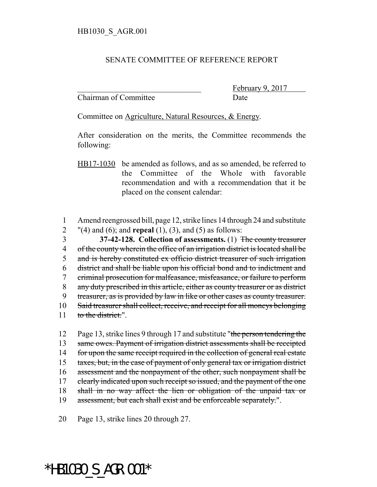## SENATE COMMITTEE OF REFERENCE REPORT

Chairman of Committee Date

February 9, 2017

Committee on Agriculture, Natural Resources, & Energy.

After consideration on the merits, the Committee recommends the following:

HB17-1030 be amended as follows, and as so amended, be referred to the Committee of the Whole with favorable recommendation and with a recommendation that it be placed on the consent calendar:

1 Amend reengrossed bill, page 12, strike lines 14 through 24 and substitute 2 "(4) and (6); and **repeal** (1), (3), and (5) as follows:

 **37-42-128. Collection of assessments.** (1) The county treasurer 4 of the county wherein the office of an irrigation district is located shall be and is hereby constituted ex officio district treasurer of such irrigation district and shall be liable upon his official bond and to indictment and criminal prosecution for malfeasance, misfeasance, or failure to perform 8 any duty prescribed in this article, either as county treasurer or as district treasurer, as is provided by law in like or other cases as county treasurer. Said treasurer shall collect, receive, and receipt for all moneys belonging 11 to the district.".

12 Page 13, strike lines 9 through 17 and substitute "the person tendering the 13 same owes. Payment of irrigation district assessments shall be receipted 14 for upon the same receipt required in the collection of general real estate 15 taxes, but, in the case of payment of only general tax or irrigation district 16 assessment and the nonpayment of the other, such nonpayment shall be 17 clearly indicated upon such receipt so issued, and the payment of the one 18 shall in no way affect the lien or obligation of the unpaid tax or 19 assessment, but each shall exist and be enforceable separately.".

20 Page 13, strike lines 20 through 27.

## \*HB1030\_S\_AGR.001\*